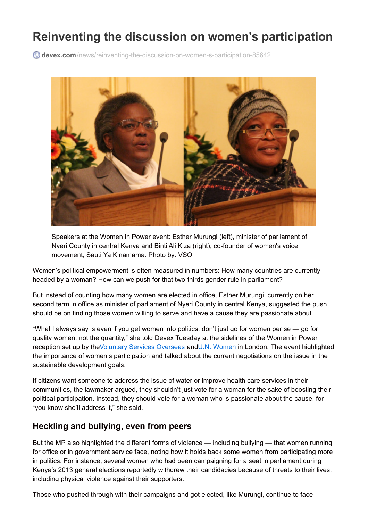# **Reinventing the discussion on women's participation**

**devex.com**[/news/reinventing-the-discussion-on-women-s-participation-85642](https://www.devex.com/news/reinventing-the-discussion-on-women-s-participation-85642)



Speakers at the Women in Power event: Esther Murungi (left), minister of parliament of Nyeri County in central Kenya and Binti Ali Kiza (right), co-founder of women's voice movement, Sauti Ya Kinamama. Photo by: VSO

Women's political empowerment is often measured in numbers: How many countries are currently headed by a woman? How can we push for that two-thirds gender rule in parliament?

But instead of counting how many women are elected in office, Esther Murungi, currently on her second term in office as minister of parliament of Nyeri County in central Kenya, suggested the push should be on finding those women willing to serve and have a cause they are passionate about.

"What I always say is even if you get women into politics, don't just go for women per se — go for quality women, not the quantity," she told Devex Tuesday at the sidelines of the Women in Power reception set up by theVoluntary Services [Overseas](https://www.devex.com/en/organizations/vso) andU.N. [Women](https://www.devex.com/en/organizations/un-women) in London. The event highlighted the importance of women's participation and talked about the current negotiations on the issue in the sustainable development goals.

If citizens want someone to address the issue of water or improve health care services in their communities, the lawmaker argued, they shouldn't just vote for a woman for the sake of boosting their political participation. Instead, they should vote for a woman who is passionate about the cause, for "you know she'll address it," she said.

### **Heckling and bullying, even from peers**

But the MP also highlighted the different forms of violence — including bullying — that women running for office or in government service face, noting how it holds back some women from participating more in politics. For instance, several women who had been campaigning for a seat in parliament during Kenya's 2013 general elections reportedly withdrew their candidacies because of threats to their lives, including physical violence against their supporters.

Those who pushed through with their campaigns and got elected, like Murungi, continue to face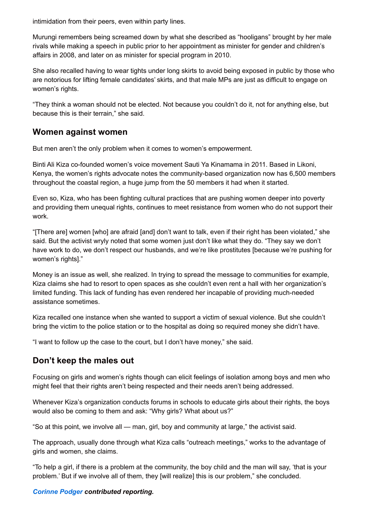intimidation from their peers, even within party lines.

Murungi remembers being screamed down by what she described as "hooligans" brought by her male rivals while making a speech in public prior to her appointment as minister for gender and children's affairs in 2008, and later on as minister for special program in 2010.

She also recalled having to wear tights under long skirts to avoid being exposed in public by those who are notorious for lifting female candidates' skirts, and that male MPs are just as difficult to engage on women's rights.

"They think a woman should not be elected. Not because you couldn't do it, not for anything else, but because this is their terrain," she said.

### **Women against women**

But men aren't the only problem when it comes to women's empowerment.

Binti Ali Kiza co-founded women's voice movement Sauti Ya Kinamama in 2011. Based in Likoni, Kenya, the women's rights advocate notes the community-based organization now has 6,500 members throughout the coastal region, a huge jump from the 50 members it had when it started.

Even so, Kiza, who has been fighting cultural practices that are pushing women deeper into poverty and providing them unequal rights, continues to meet resistance from women who do not support their work.

"[There are] women [who] are afraid [and] don't want to talk, even if their right has been violated," she said. But the activist wryly noted that some women just don't like what they do. "They say we don't have work to do, we don't respect our husbands, and we're like prostitutes [because we're pushing for women's rights]."

Money is an issue as well, she realized. In trying to spread the message to communities for example, Kiza claims she had to resort to open spaces as she couldn't even rent a hall with her organization's limited funding. This lack of funding has even rendered her incapable of providing much-needed assistance sometimes.

Kiza recalled one instance when she wanted to support a victim of sexual violence. But she couldn't bring the victim to the police station or to the hospital as doing so required money she didn't have.

"I want to follow up the case to the court, but I don't have money," she said.

## **Don't keep the males out**

Focusing on girls and women's rights though can elicit feelings of isolation among boys and men who might feel that their rights aren't being respected and their needs aren't being addressed.

Whenever Kiza's organization conducts forums in schools to educate girls about their rights, the boys would also be coming to them and ask: "Why girls? What about us?"

"So at this point, we involve all — man, girl, boy and community at large," the activist said.

The approach, usually done through what Kiza calls "outreach meetings," works to the advantage of girls and women, she claims.

"To help a girl, if there is a problem at the community, the boy child and the man will say, 'that is your problem.' But if we involve all of them, they [will realize] this is our problem," she concluded.

#### *[Corinne](https://www.devex.com/en/people/1061012) Podger contributed reporting.*